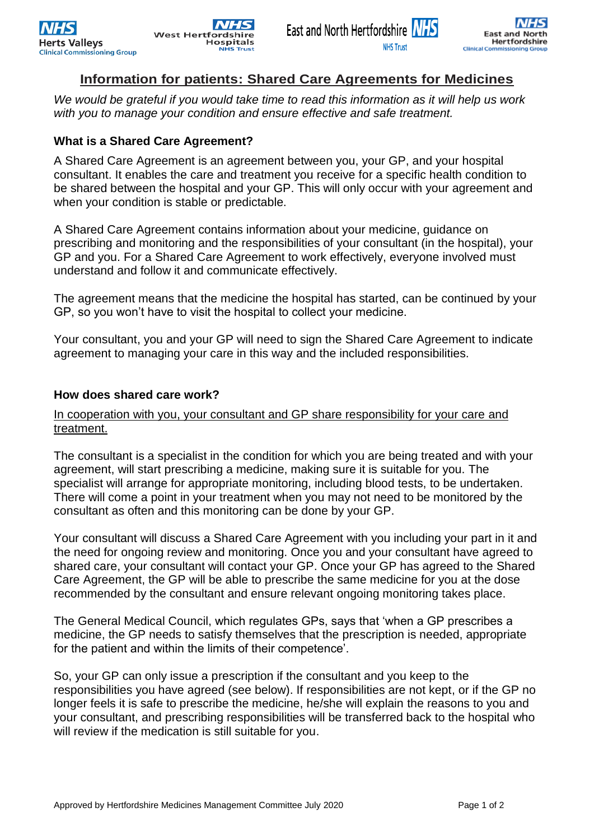# **Information for patients: Shared Care Agreements for Medicines**

*We would be grateful if you would take time to read this information as it will help us work with you to manage your condition and ensure effective and safe treatment.*

# **What is a Shared Care Agreement?**

A Shared Care Agreement is an agreement between you, your GP, and your hospital consultant. It enables the care and treatment you receive for a specific health condition to be shared between the hospital and your GP. This will only occur with your agreement and when your condition is stable or predictable.

A Shared Care Agreement contains information about your medicine, guidance on prescribing and monitoring and the responsibilities of your consultant (in the hospital), your GP and you. For a Shared Care Agreement to work effectively, everyone involved must understand and follow it and communicate effectively.

The agreement means that the medicine the hospital has started, can be continued by your GP, so you won't have to visit the hospital to collect your medicine.

Your consultant, you and your GP will need to sign the Shared Care Agreement to indicate agreement to managing your care in this way and the included responsibilities.

# **How does shared care work?**

### In cooperation with you, your consultant and GP share responsibility for your care and treatment.

The consultant is a specialist in the condition for which you are being treated and with your agreement, will start prescribing a medicine, making sure it is suitable for you. The specialist will arrange for appropriate monitoring, including blood tests, to be undertaken. There will come a point in your treatment when you may not need to be monitored by the consultant as often and this monitoring can be done by your GP.

Your consultant will discuss a Shared Care Agreement with you including your part in it and the need for ongoing review and monitoring. Once you and your consultant have agreed to shared care, your consultant will contact your GP. Once your GP has agreed to the Shared Care Agreement, the GP will be able to prescribe the same medicine for you at the dose recommended by the consultant and ensure relevant ongoing monitoring takes place.

The General Medical Council, which regulates GPs, says that 'when a GP prescribes a medicine, the GP needs to satisfy themselves that the prescription is needed, appropriate for the patient and within the limits of their competence'.

So, your GP can only issue a prescription if the consultant and you keep to the responsibilities you have agreed (see below). If responsibilities are not kept, or if the GP no longer feels it is safe to prescribe the medicine, he/she will explain the reasons to you and your consultant, and prescribing responsibilities will be transferred back to the hospital who will review if the medication is still suitable for you.